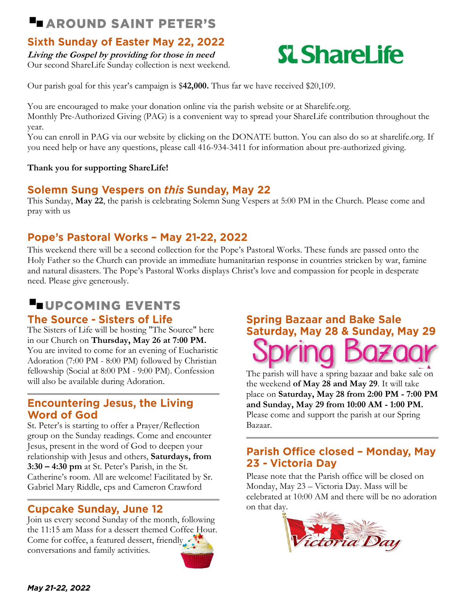## **LAROUND SAINT PETER'S**

### **Sixth Sunday of Easter May 22, 2022**

**Living the Gospel by providing for those in need** Our second ShareLife Sunday collection is next weekend.

# **SL ShareLife**

Our parish goal for this year's campaign is \$**42,000.** Thus far we have received \$20,109.

You are encouraged to make your donation online via the parish website or at Sharelife.org. Monthly Pre-Authorized Giving (PAG) is a convenient way to spread your ShareLife contribution throughout the year.

You can enroll in PAG via our website by clicking on the DONATE button. You can also do so at [sharelife.org.](mailto:slife@archtoronto.org) If you need help or have any questions, please call 416-934-3411 for information about pre-authorized giving.

#### **Thank you for supporting ShareLife!**

### **Solemn Sung Vespers on this Sunday, May 22**

This Sunday, **May 22**, the parish is celebrating Solemn Sung Vespers at 5:00 PM in the Church. Please come and pray with us

### Pope's Pastoral Works - May 21-22, 2022

This weekend there will be a second collection for the Pope's Pastoral Works. These funds are passed onto the Holy Father so the Church can provide an immediate humanitarian response in countries stricken by war, famine and natural disasters. The Pope's Pastoral Works displays Christ's love and compassion for people in desperate need. Please give generously.

### **LUPCOMING EVENTS**

### **The Source - Sisters of Life**

The Sisters of Life will be hosting "The Source" here in our Church on **Thursday, May 26 at 7:00 PM.** You are invited to come for an evening of Eucharistic Adoration (7:00 PM - 8:00 PM) followed by Christian fellowship (Social at 8:00 PM - 9:00 PM). Confession will also be available during Adoration.

### **Encountering Jesus, the Living Word of God**

St. Peter's is starting to offer a Prayer/Reflection group on the Sunday readings. Come and encounter Jesus, present in the word of God to deepen your relationship with Jesus and others, **Saturdays, from 3:30 – 4:30 pm** at St. Peter's Parish, in the St. Catherine's room. All are welcome! Facilitated by Sr. Gabriel Mary Riddle, cps and Cameron Crawford

### **Cupcake Sunday, June 12**

Join us every second Sunday of the month, following the 11:15 am Mass for a dessert themed Coffee Hour. Come for coffee, a featured dessert, friendly conversations and family activities.

# **Spring Bazaar and Bake Sale** Saturday, May 28 & Sunday, May 29

The parish will have a spring bazaar and bake sale on the weekend **of May 28 and May 29**. It will take place on **Saturday, May 28 from 2:00 PM - 7:00 PM and Sunday, May 29 from 10:00 AM - 1:00 PM.** Please come and support the parish at our Spring Bazaar.

### Parish Office closed - Monday, May 23 - Victoria Day

Please note that the Parish office will be closed on Monday, May 23 – Victoria Day. Mass will be celebrated at 10:00 AM and there will be no adoration on that day.